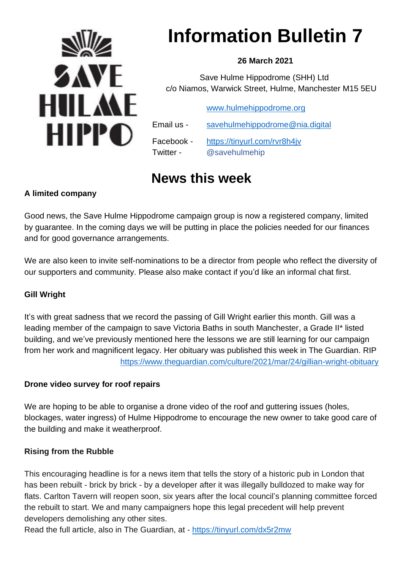

# **Information Bulletin 7**

### **26 March 2021**

 Save Hulme Hippodrome (SHH) Ltd c/o Niamos, Warwick Street, Hulme, Manchester M15 5EU

[www.hulmehippodrome.org](http://www.hulmehippodrome.org/)

| Email us - | savehulmehippodrome@nia.digital |
|------------|---------------------------------|
| Facebook - | https://tinyurl.com/rvr8h4jv    |
| Twitter -  | @savehulmehip                   |

# **News this week**

## **A limited company**

Good news, the Save Hulme Hippodrome campaign group is now a registered company, limited by guarantee. In the coming days we will be putting in place the policies needed for our finances and for good governance arrangements.

We are also keen to invite self-nominations to be a director from people who reflect the diversity of our supporters and community. Please also make contact if you'd like an informal chat first.

### **Gill Wright**

It's with great sadness that we record the passing of Gill Wright earlier this month. Gill was a leading member of the campaign to save Victoria Baths in south Manchester, a Grade II\* listed building, and we've previously mentioned here the lessons we are still learning for our campaign from her work and magnificent legacy. Her obituary was published this week in The Guardian. RIP <https://www.theguardian.com/culture/2021/mar/24/gillian-wright-obituary>

#### **Drone video survey for roof repairs**

We are hoping to be able to organise a drone video of the roof and guttering issues (holes, blockages, water ingress) of Hulme Hippodrome to encourage the new owner to take good care of the building and make it weatherproof.

#### **Rising from the Rubble**

This encouraging headline is for a news item that tells the story of a historic pub in London that has been rebuilt - brick by brick - by a developer after it was illegally bulldozed to make way for flats. Carlton Tavern will reopen soon, six years after the local council's planning committee forced the rebuilt to start. We and many campaigners hope this legal precedent will help prevent developers demolishing any other sites.

Read the full article, also in The Guardian, at - <https://tinyurl.com/dx5r2mw>